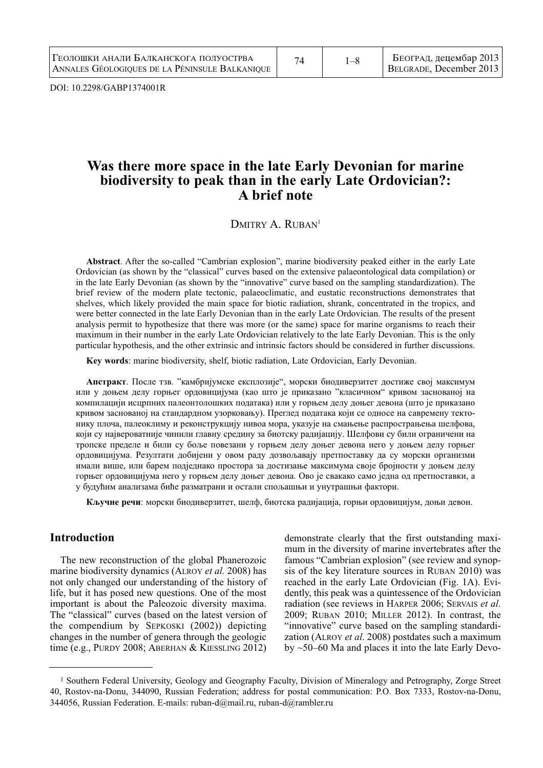DOI: 10.2298/GABP1374001R

# **Was there more space in the late Early Devonian for marine biodiversity to peak than in the early Late Ordovician?: A brief note**

DMITRY A. RUBAN<sup>1</sup>

**Abstract**. After the so-called "Cambrian explosion", marine biodiversity peaked either in the early Late Ordovician (as shown by the "classical" curves based on the extensive palaeontological data compilation) or in the late Early Devonian (as shown by the "innovative" curve based on the sampling standardization). The brief review of the modern plate tectonic, palaeoclimatic, and eustatic reconstructions demonstrates that shelves, which likely provided the main space for biotic radiation, shrank, concentrated in the tropics, and were better connected in the late Early Devonian than in the early Late Ordovician. The results of the present analysis permit to hypothesize that there was more (or the same) space for marine organisms to reach their maximum in their number in the early Late Ordovician relatively to the late Early Devonian. This is the only particular hypothesis, and the other extrinsic and intrinsic factors should be considered in further discussions.

**Key words**: marine biodiversity, shelf, biotic radiation, Late Ordovician, Early Devonian.

**Апстракт**. После тзв. "камбријумске експлозије", морски биодиверзитет достиже свој максимум или у доњем делу горњег ордовицијума (као што је приказано "класичном" кривом заснованој на компилацији исцрпних палеонтолошких података) или у горњем делу доњег девона (што је приказано кривом заснованој на стандардном узорковању). Преглед података који се односе на савремену тектонику плоча, палеоклиму и реконструкцију нивоа мора, указује на смањење распрострањења шелфова, који су највероватније чинили главну средину за биотску радијацију. Шелфови су били ограничени на тропскe пределe и били су боље повезани у горњем делу доњег девона него у доњем делу горњег ордовицијума. Резултати добијени у овом раду дозвољавају претпоставку да су морски организми имали више, или барем подједнако простора за достизање максимума своје бројности у доњем делу горњег ордовицијума него у горњем делу доњег девона. Ово је свакако само једна од претпоставки, а у будућим анализама биће разматрани и остали спољашњи и унутрашњи фактори.

**Кључне речи**: морски биодиверзитет, шелф, биотска радијација, горњи ордовицијум, доњи девон.

# **Introduction**

The new reconstruction of the global Phanerozoic marine biodiversity dynamics (ALROY *et al.* 2008) has not only changed our understanding of the history of life, but it has posed new questions. One of the most important is about the Paleozoic diversity maxima. The "classical" curves (based on the latest version of the compendium by SEPKOSKI (2002)) depicting changes in the number of genera through the geologic time (e.g., PURDY 2008; ABERHAN & KIESSLING 2012)

demonstrate clearly that the first outstanding maximum in the diversity of marine invertebrates after the famous "Cambrian explosion" (see review and synopsis of the key literature sources in RUBAN 2010) was reached in the early Late Ordovician (Fig. 1A). Evidently, this peak was a quintessence of the Ordovician radiation (see reviews in HARPER 2006; SERVAIS *et al*. 2009; RUBAN 2010; MILLER 2012). In contrast, the "innovative" curve based on the sampling standardization (ALROY *et al*. 2008) postdates such a maximum by ~50–60 Ma and places it into the late Early Devo-

<sup>1</sup> Southern Federal University, Geology and Geography Faculty, Division of Mineralogy and Petrography, Zorge Street 40, Rostov-na-Donu, 344090, Russian Federation; address for postal communication: P.O. Box 7333, Rostov-na-Donu, 344056, Russian Federation. E-mails: ruban-d@mail.ru, ruban-d@rambler.ru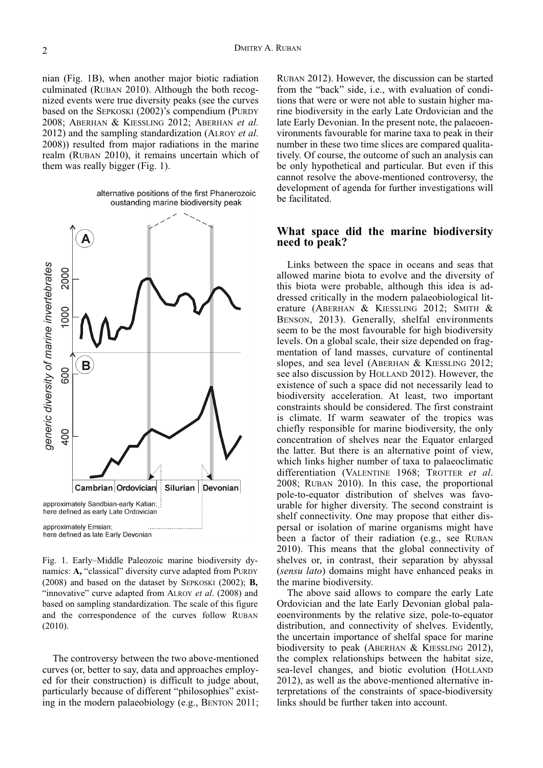nian (Fig. 1B), when another major biotic radiation culminated (RUBAN 2010). Although the both recognized events were true diversity peaks (see the curves based on the SEPKOSKI (2002)'s compendium (PURDY 2008; ABERHAN & KIESSLING 2012; ABERHAN *et al.* 2012) and the sampling standardization (ALROY *et al.* 2008)) resulted from major radiations in the marine realm (RUBAN 2010), it remains uncertain which of them was really bigger (Fig. 1).

> alternative positions of the first Phanerozoic oustanding marine biodiversity peak



Fig. 1. Early–Middle Paleozoic marine biodiversity dynamics: **A,** "classical" diversity curve adapted from PURDY (2008) and based on the dataset by SEPKOSKI (2002); **B,** "innovative" curve adapted from ALROY *et al*. (2008) and based on sampling standardization. The scale of this figure and the correspondence of the curves follow RUBAN (2010).

The controversy between the two above-mentioned curves (or, better to say, data and approaches employed for their construction) is difficult to judge about, particularly because of different "philosophies" existing in the modern palaeobiology (e.g., BENTON 2011;

RUBAN 2012). However, the discussion can be started from the "back" side, i.e., with evaluation of conditions that were or were not able to sustain higher marine biodiversity in the early Late Ordovician and the late Early Devonian. In the present note, the palaeoenvironments favourable for marine taxa to peak in their number in these two time slices are compared qualitatively. Of course, the outcome of such an analysis can be only hypothetical and particular. But even if this cannot resolve the above-mentioned controversy, the development of agenda for further investigations will be facilitated.

# **What space did the marine biodiversity need to peak?**

Links between the space in oceans and seas that allowed marine biota to evolve and the diversity of this biota were probable, although this idea is addressed critically in the modern palaeobiological literature (ABERHAN & KIESSLING 2012; SMITH & BENSON, 2013). Generally, shelfal environments seem to be the most favourable for high biodiversity levels. On a global scale, their size depended on fragmentation of land masses, curvature of continental slopes, and sea level (ABERHAN & KIESSLING 2012; see also discussion by HOLLAND 2012). However, the existence of such a space did not necessarily lead to biodiversity acceleration. At least, two important constraints should be considered. The first constraint is climate. If warm seawater of the tropics was chiefly responsible for marine biodiversity, the only concentration of shelves near the Equator enlarged the latter. But there is an alternative point of view, which links higher number of taxa to palaeoclimatic differentiation (VALENTINE 1968; TROTTER *et al*. 2008; RUBAN 2010). In this case, the proportional pole-to-equator distribution of shelves was favourable for higher diversity. The second constraint is shelf connectivity. One may propose that either dispersal or isolation of marine organisms might have been a factor of their radiation (e.g., see RUBAN 2010). This means that the global connectivity of shelves or, in contrast, their separation by abyssal (*sensu lato*) domains might have enhanced peaks in the marine biodiversity.

The above said allows to compare the early Late Ordovician and the late Early Devonian global palaeoenvironments by the relative size, pole-to-equator distribution, and connectivity of shelves. Evidently, the uncertain importance of shelfal space for marine biodiversity to peak (ABERHAN & KIESSLING 2012), the complex relationships between the habitat size, sea-level changes, and biotic evolution (HOLLAND 2012), as well as the above-mentioned alternative interpretations of the constraints of space-biodiversity links should be further taken into account.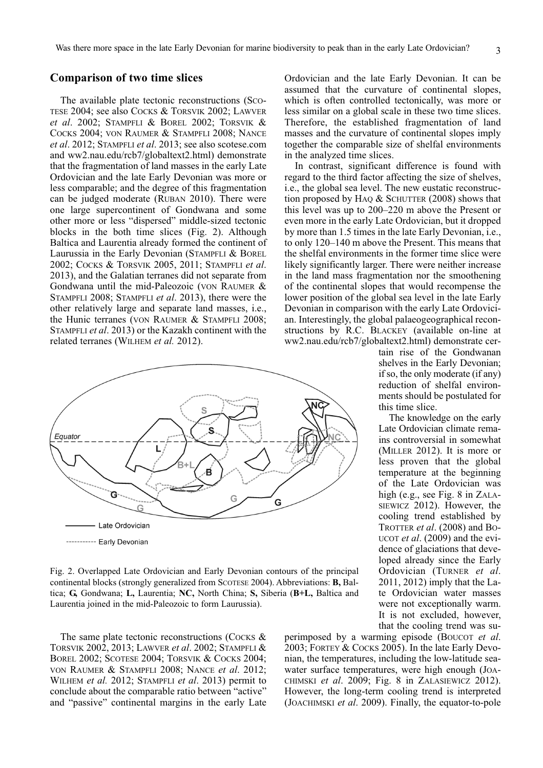# **Comparison of two time slices**

The available plate tectonic reconstructions (SCO-TESE 2004; see also COCKS & TORSVIK 2002; LAWVER *et al*. 2002; STAMPFLI & BOREL 2002; TORSVIK & COCKS 2004; VON RAUMER & STAMPFLI 2008; NANCE *et al*. 2012; STAMPFLI *et al*. 2013; see also scotese.com and ww2.nau.edu/rcb7/globaltext2.html) demonstrate that the fragmentation of land masses in the early Late Ordovician and the late Early Devonian was more or less comparable; and the degree of this fragmentation can be judged moderate (RUBAN 2010). There were one large supercontinent of Gondwana and some other more or less "dispersed" middle-sized tectonic blocks in the both time slices (Fig. 2). Although Baltica and Laurentia already formed the continent of Laurussia in the Early Devonian (STAMPFLI & BOREL 2002; COCKS & TORSVIK 2005, 2011; STAMPFLI *et al*. 2013), and the Galatian terranes did not separate from Gondwana until the mid-Paleozoic (VON RAUMER & STAMPFLI 2008; STAMPFLI *et al*. 2013), there were the other relatively large and separate land masses, i.e., the Hunic terranes (VON RAUMER & STAMPFLI 2008; STAMPFLI *et al*. 2013) or the Kazakh continent with the related terranes (WILHEM *et al.* 2012).



Fig. 2. Overlapped Late Ordovician and Early Devonian contours of the principal continental blocks (strongly generalized from SCOTESE 2004). Abbreviations: **B,** Baltica; **G,** Gondwana; **L,** Laurentia; **NC,** North China; **S,** Siberia (**B+L,** Baltica and Laurentia joined in the mid-Paleozoic to form Laurussia).

The same plate tectonic reconstructions (COCKS  $\&$ TORSVIK 2002, 2013; LAWVER *et al*. 2002; STAMPFLI & BOREL 2002; SCOTESE 2004; TORSVIK & COCKS 2004; VON RAUMER & STAMPFLI 2008; NANCE *et al*. 2012; WILHEM *et al.* 2012; STAMPFLI *et al*. 2013) permit to conclude about the comparable ratio between "active" and "passive" continental margins in the early Late Ordovician and the late Early Devonian. It can be assumed that the curvature of continental slopes, which is often controlled tectonically, was more or less similar on a global scale in these two time slices. Therefore, the established fragmentation of land masses and the curvature of continental slopes imply together the comparable size of shelfal environments in the analyzed time slices.

In contrast, significant difference is found with regard to the third factor affecting the size of shelves, i.e., the global sea level. The new eustatic reconstruction proposed by H<sub>AQ</sub> & SCHUTTER  $(2008)$  shows that this level was up to 200–220 m above the Present or even more in the early Late Ordovician, but it dropped by more than 1.5 times in the late Early Devonian, i.e., to only 120–140 m above the Present. This means that the shelfal environments in the former time slice were likely significantly larger. There were neither increase in the land mass fragmentation nor the smoothening of the continental slopes that would recompense the lower position of the global sea level in the late Early Devonian in comparison with the early Late Ordovician. Interestingly, the global palaeogeographical reconstructions by R.C. BLACKEY (available on-line at ww2.nau.edu/rcb7/globaltext2.html) demonstrate cer-

tain rise of the Gondwanan shelves in the Early Devonian; if so, the only moderate (if any) reduction of shelfal environments should be postulated for this time slice.

The knowledge on the early Late Ordovician climate remains controversial in somewhat (MILLER 2012). It is more or less proven that the global temperature at the beginning of the Late Ordovician was high (e.g., see Fig. 8 in ZALA-SIEWICZ 2012). However, the cooling trend established by TROTTER *et al*. (2008) and BO-UCOT *et al*. (2009) and the evidence of glaciations that developed already since the Early Ordovician (TURNER *et al*. 2011, 2012) imply that the Late Ordovician water masses were not exceptionally warm. It is not excluded, however, that the cooling trend was su-

perimposed by a warming episode (BOUCOT *et al*. 2003; FORTEY & COCKS 2005). In the late Early Devonian, the temperatures, including the low-latitude seawater surface temperatures, were high enough (JOA-CHIMSKI *et al*. 2009; Fig. 8 in ZALASIEWICZ 2012). However, the long-term cooling trend is interpreted (JOACHIMSKI *et al*. 2009). Finally, the equator-to-pole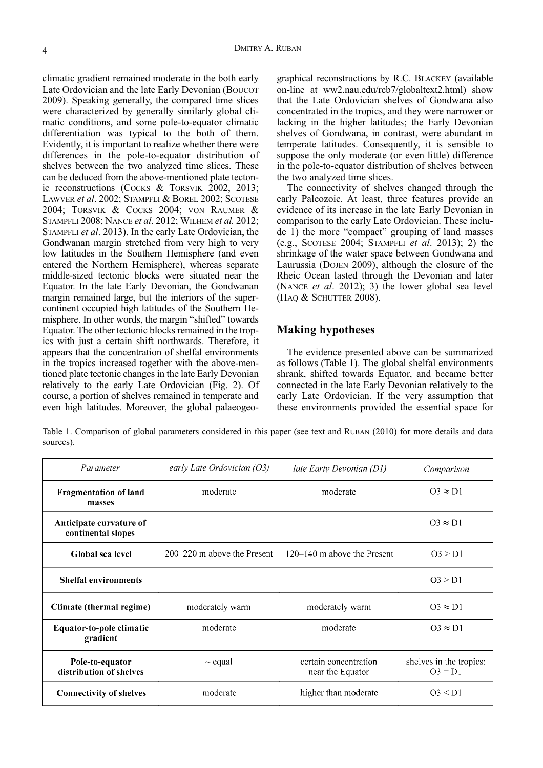climatic gradient remained moderate in the both early Late Ordovician and the late Early Devonian (BOUCOT 2009). Speaking generally, the compared time slices were characterized by generally similarly global climatic conditions, and some pole-to-equator climatic differentiation was typical to the both of them. Evidently, it is important to realize whether there were differences in the pole-to-equator distribution of shelves between the two analyzed time slices. These can be deduced from the above-mentioned plate tectonic reconstructions (COCKS & TORSVIK 2002, 2013; LAWVER *et al*. 2002; STAMPFLI & BOREL 2002; SCOTESE 2004; TORSVIK & COCKS 2004; VON RAUMER & STAMPFLI 2008; NANCE *et al*. 2012; WILHEM *et al.* 2012; STAMPFLI *et al*. 2013). In the early Late Ordovician, the Gondwanan margin stretched from very high to very low latitudes in the Southern Hemisphere (and even entered the Northern Hemisphere), whereas separate middle-sized tectonic blocks were situated near the Equator. In the late Early Devonian, the Gondwanan margin remained large, but the interiors of the supercontinent occupied high latitudes of the Southern Hemisphere. In other words, the margin "shifted" towards Equator. The other tectonic blocks remained in the tropics with just a certain shift northwards. Therefore, it appears that the concentration of shelfal environments in the tropics increased together with the above-mentioned plate tectonic changes in the late Early Devonian relatively to the early Late Ordovician (Fig. 2). Of course, a portion of shelves remained in temperate and even high latitudes. Moreover, the global palaeogeo-

graphical reconstructions by R.C. BLACKEY (available on-line at ww2.nau.edu/rcb7/globaltext2.html) show that the Late Ordovician shelves of Gondwana also concentrated in the tropics, and they were narrower or lacking in the higher latitudes; the Early Devonian shelves of Gondwana, in contrast, were abundant in temperate latitudes. Consequently, it is sensible to suppose the only moderate (or even little) difference in the pole-to-equator distribution of shelves between the two analyzed time slices.

The connectivity of shelves changed through the early Paleozoic. At least, three features provide an evidence of its increase in the late Early Devonian in comparison to the early Late Ordovician. These include 1) the more "compact" grouping of land masses (e.g., SCOTESE 2004; STAMPFLI *et al*. 2013); 2) the shrinkage of the water space between Gondwana and Laurussia (DOJEN 2009), although the closure of the Rheic Ocean lasted through the Devonian and later (NANCE *et al*. 2012); 3) the lower global sea level (HAQ & SCHUTTER 2008).

# **Making hypotheses**

The evidence presented above can be summarized as follows (Table 1). The global shelfal environments shrank, shifted towards Equator, and became better connected in the late Early Devonian relatively to the early Late Ordovician. If the very assumption that these environments provided the essential space for

Table 1. Comparison of global parameters considered in this paper (see text and RUBAN (2010) for more details and data sources).

| Parameter                                     | early Late Ordovician (O3)  | late Early Devonian (D1)                  | Comparison                           |
|-----------------------------------------------|-----------------------------|-------------------------------------------|--------------------------------------|
| <b>Fragmentation of land</b><br>masses        | moderate                    | moderate                                  | $O3 \approx D1$                      |
| Anticipate curvature of<br>continental slopes |                             |                                           | $O3 \approx D1$                      |
| Global sea level                              | 200–220 m above the Present | 120–140 m above the Present               | O3 > D1                              |
| <b>Shelfal environments</b>                   |                             |                                           | O3 > D1                              |
| Climate (thermal regime)                      | moderately warm             | moderately warm                           | $O3 \approx D1$                      |
| Equator-to-pole climatic<br>gradient          | moderate                    | moderate                                  | $O3 \approx D1$                      |
| Pole-to-equator<br>distribution of shelves    | $\sim$ equal                | certain concentration<br>near the Equator | shelves in the tropics:<br>$O3 = D1$ |
| <b>Connectivity of shelves</b>                | moderate                    | higher than moderate                      | O3 < D1                              |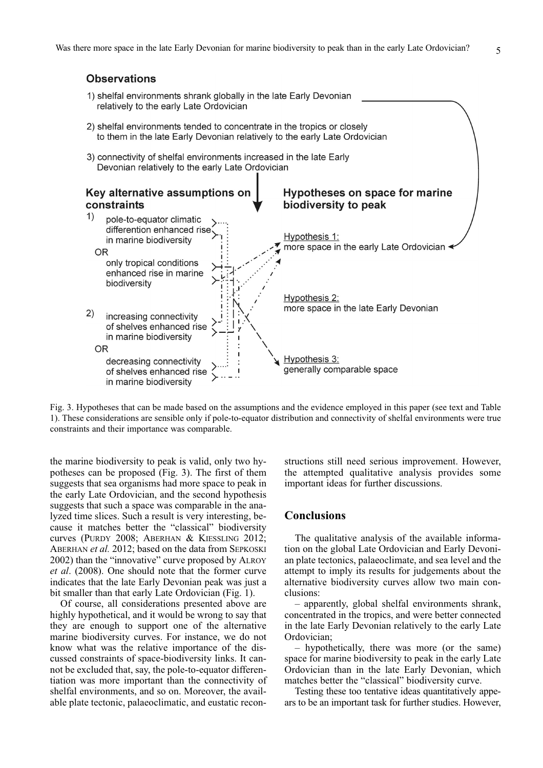# **Observations**

- 1) shelfal environments shrank globally in the late Early Devonian relatively to the early Late Ordovician
- 2) shelfal environments tended to concentrate in the tropics or closely to them in the late Early Devonian relatively to the early Late Ordovician
- 3) connectivity of shelfal environments increased in the late Early Devonian relatively to the early Late Ordovician



Fig. 3. Hypotheses that can be made based on the assumptions and the evidence employed in this paper (see text and Table 1). These considerations are sensible only if pole-to-equator distribution and connectivity of shelfal environments were true constraints and their importance was comparable.

the marine biodiversity to peak is valid, only two hypotheses can be proposed (Fig. 3). The first of them suggests that sea organisms had more space to peak in the early Late Ordovician, and the second hypothesis suggests that such a space was comparable in the analyzed time slices. Such a result is very interesting, because it matches better the "classical" biodiversity curves (PURDY 2008; ABERHAN & KIESSLING 2012; ABERHAN *et al.* 2012; based on the data from SEPKOSKI 2002) than the "innovative" curve proposed by ALROY *et al*. (2008). One should note that the former curve indicates that the late Early Devonian peak was just a bit smaller than that early Late Ordovician (Fig. 1).

Of course, all considerations presented above are highly hypothetical, and it would be wrong to say that they are enough to support one of the alternative marine biodiversity curves. For instance, we do not know what was the relative importance of the discussed constraints of space-biodiversity links. It cannot be excluded that, say, the pole-to-equator differentiation was more important than the connectivity of shelfal environments, and so on. Moreover, the available plate tectonic, palaeoclimatic, and eustatic reconstructions still need serious improvement. However, the attempted qualitative analysis provides some important ideas for further discussions.

# **Conclusions**

The qualitative analysis of the available information on the global Late Ordovician and Early Devonian plate tectonics, palaeoclimate, and sea level and the attempt to imply its results for judgements about the alternative biodiversity curves allow two main conclusions:

– apparently, global shelfal environments shrank, concentrated in the tropics, and were better connected in the late Early Devonian relatively to the early Late Ordovician;

– hypothetically, there was more (or the same) space for marine biodiversity to peak in the early Late Ordovician than in the late Early Devonian, which matches better the "classical" biodiversity curve.

Testing these too tentative ideas quantitatively appears to be an important task for further studies. However,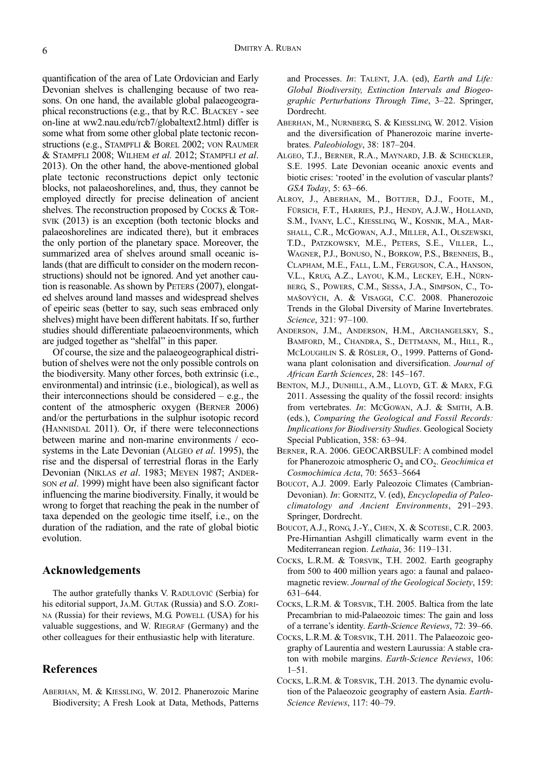quantification of the area of Late Ordovician and Early Devonian shelves is challenging because of two reasons. On one hand, the available global palaeogeographical reconstructions (e.g., that by R.C. BLACKEY - see on-line at ww2.nau.edu/rcb7/globaltext2.html) differ is some what from some other global plate tectonic reconstructions (e.g., STAMPFLI & BOREL 2002; VON RAUMER & STAMPFLI 2008; WILHEM *et al.* 2012; STAMPFLI *et al*. 2013). On the other hand, the above-mentioned global plate tectonic reconstructions depict only tectonic blocks, not palaeoshorelines, and, thus, they cannot be employed directly for precise delineation of ancient shelves. The reconstruction proposed by COCKS & TOR-SVIK (2013) is an exception (both tectonic blocks and palaeoshorelines are indicated there), but it embraces the only portion of the planetary space. Moreover, the summarized area of shelves around small oceanic islands (that are difficult to consider on the modern reconstructions) should not be ignored. And yet another caution is reasonable. As shown by PETERS (2007), elongated shelves around land masses and widespread shelves of epeiric seas (better to say, such seas embraced only shelves) might have been different habitats. If so, further studies should differentiate palaeoenvironments, which are judged together as "shelfal" in this paper.

Of course, the size and the palaeogeographical distribution of shelves were not the only possible controls on the biodiversity. Many other forces, both extrinsic (i.e., environmental) and intrinsic (i.e., biological), as well as their interconnections should be considered  $-$  e.g., the content of the atmospheric oxygen (BERNER 2006) and/or the perturbations in the sulphur isotopic record (HANNISDAL 2011). Or, if there were teleconnections between marine and non-marine environments / ecosystems in the Late Devonian (ALGEO *et al*. 1995), the rise and the dispersal of terrestrial floras in the Early Devonian (NIKLAS *et al*. 1983; MEYEN 1987; ANDER-SON *et al*. 1999) might have been also significant factor influencing the marine biodiversity. Finally, it would be wrong to forget that reaching the peak in the number of taxa depended on the geologic time itself, i.e., on the duration of the radiation, and the rate of global biotic evolution.

#### **Acknowledgements**

The author gratefully thanks V. RADULOVIĆ (Serbia) for his editorial support, JA.M. GUTAK (Russia) and S.O. ZORI-NA (Russia) for their reviews, M.G. POWELL (USA) for his valuable suggestions, and W. RIEGRAF (Germany) and the other colleagues for their enthusiastic help with literature.

# **References**

ABERHAN, M. & KIESSLING, W. 2012. Phanerozoic Marine Biodiversity; A Fresh Look at Data, Methods, Patterns and Processes. *In*: TALENT, J.A. (ed), *Earth and Life: Global Biodiversity, Extinction Intervals and Biogeographic Perturbations Through Time*, 3–22. Springer, Dordrecht.

- ABERHAN, M., NURNBERG, S. & KIESSLING, W. 2012. Vision and the diversification of Phanerozoic marine invertebrates. *Paleobiology*, 38: 187–204.
- ALGEO, T.J., BERNER, R.A., MAYNARD, J.B. & SCHECKLER, S.E. 1995. Late Devonian oceanic anoxic events and biotic crises: 'rooted' in the evolution of vascular plants? *GSA Today*, 5: 63–66.
- ALROY, J., ABERHAN, M., BOTTJER, D.J., FOOTE, M., FÜRSICH, F.T., HARRIES, P.J., HENDY, A.J.W., HOLLAND, S.M., IVANY, L.C., KIESSLING, W., KOSNIK, M.A., MAR-SHALL, C.R., MCGOWAN, A.J., MILLER, A.I., OLSZEWSKI, T.D., PATZKOWSKY, M.E., PETERS, S.E., VILLER, L., WAGNER, P.J., BONUSO, N., BORKOW, P.S., BRENNEIS, B., CLAPHAM, M.E., FALL, L.M., FERGUSON, C.A., HANSON, V.L., KRUG, A.Z., LAYOU, K.M., LECKEY, E.H., NÜRN-BERG, S., POWERS, C.M., SESSA, J.A., SIMPSON, C., TO-MAŠOVÝCH, A. & VISAGGI, C.C. 2008. Phanerozoic Trends in the Global Diversity of Marine Invertebrates. *Science*, 321: 97–100.
- ANDERSON, J.M., ANDERSON, H.M., ARCHANGELSKY, S., BAMFORD, M., CHANDRA, S., DETTMANN, M., HILL, R., MCLOUGHLIN S. & RÖSLER, O., 1999. Patterns of Gondwana plant colonisation and diversification. *Journal of African Earth Sciences*, 28: 145–167.
- BENTON, M.J., DUNHILL, A.M., LLOYD, G.T. & MARX, F.G. 2011. Assessing the quality of the fossil record: insights from vertebrates. *In*: MCGOWAN, A.J. & SMITH, A.B. (eds.), *Comparing the Geological and Fossil Records: Implications for Biodiversity Studies*. Geological Society Special Publication, 358: 63–94.
- BERNER, R.A. 2006. GEOCARBSULF: A combined model for Phanerozoic atmospheric O<sub>2</sub> and CO<sub>2</sub>. *Geochimica et Cosmochimica Acta*, 70: 5653–5664
- BOUCOT, A.J. 2009. Early Paleozoic Climates (Cambrian-Devonian). *In*: GORNITZ, V. (ed), *Encyclopedia of Paleoclimatology and Ancient Environments*, 291–293. Springer, Dordrecht.
- BOUCOT, A.J., RONG, J.-Y., CHEN, X. & SCOTESE, C.R. 2003. Pre-Hirnantian Ashgill climatically warm event in the Mediterranean region. *Lethaia*, 36: 119–131.
- COCKS, L.R.M. & TORSVIK, T.H. 2002. Earth geography from 500 to 400 million years ago: a faunal and palaeomagnetic review. *Journal of the Geological Society*, 159: 631–644.
- COCKS, L.R.M. & TORSVIK, T.H. 2005. Baltica from the late Precambrian to mid-Palaeozoic times: The gain and loss of a terrane's identity. *Earth-Science Reviews*, 72: 39–66.
- COCKS, L.R.M. & TORSVIK, T.H. 2011. The Palaeozoic geography of Laurentia and western Laurussia: A stable craton with mobile margins. *Earth-Science Reviews*, 106: 1–51.
- COCKS, L.R.M. & TORSVIK, T.H. 2013. The dynamic evolution of the Palaeozoic geography of eastern Asia. *Earth-Science Reviews*, 117: 40–79.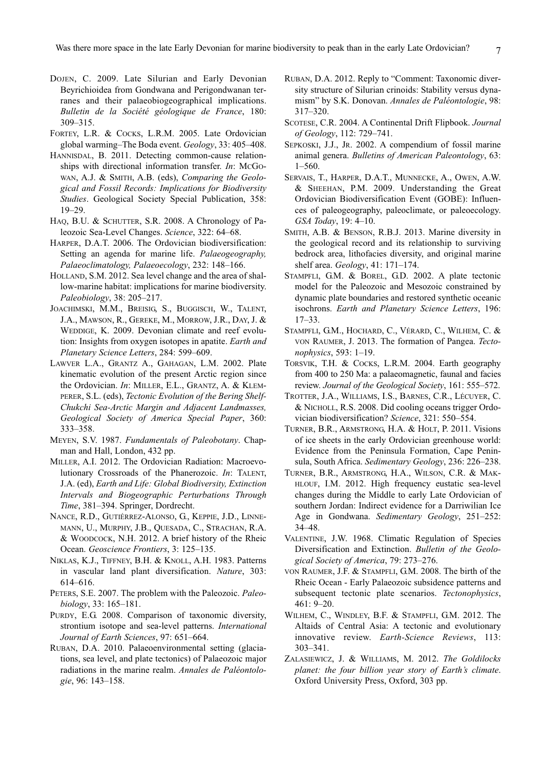- DOJEN, C. 2009. Late Silurian and Early Devonian Beyrichioidea from Gondwana and Perigondwanan terranes and their palaeobiogeographical implications. *Bulletin de la Société géologique de France*, 180: 309–315.
- FORTEY, L.R. & COCKS, L.R.M. 2005. Late Ordovician global warming–The Boda event. *Geology*, 33: 405–408.
- HANNISDAL, B. 2011. Detecting common-cause relationships with directional information transfer. *In*: McGo-WAN, A.J. & SMITH, A.B. (eds), *Comparing the Geological and Fossil Records: Implications for Biodiversity Studies*. Geological Society Special Publication, 358: 19–29.
- HAQ, B.U. & SCHUTTER, S.R. 2008. A Chronology of Paleozoic Sea-Level Changes. *Science*, 322: 64–68.
- HARPER, D.A.T. 2006. The Ordovician biodiversification: Setting an agenda for marine life. *Palaeogeography, Palaeoclimatology, Palaeoecology*, 232: 148–166.
- HOLLAND, S.M. 2012. Sea level change and the area of shallow-marine habitat: implications for marine biodiversity. *Paleobiology*, 38: 205–217.
- JOACHIMSKI, M.M., BREISIG, S., BUGGISCH, W., TALENT, J.A., MAWSON, R., GEREKE, M., MORROW, J.R., DAY, J. & WEDDIGE, K. 2009. Devonian climate and reef evolution: Insights from oxygen isotopes in apatite. *Earth and Planetary Science Letters*, 284: 599–609.
- LAWVER L.A., GRANTZ A., GAHAGAN, L.M. 2002. Plate kinematic evolution of the present Arctic region since the Ordovician. *In*: MILLER, E.L., GRANTZ, A. & KLEM-PERER, S.L. (eds), *Tectonic Evolution of the Bering Shelf-Chukchi Sea-Arctic Margin and Adjacent Landmasses, Geological Society of America Special Paper*, 360: 333–358.
- MEYEN, S.V. 1987. *Fundamentals of Paleobotany*. Chapman and Hall, London, 432 pp.
- MILLER, A.I. 2012. The Ordovician Radiation: Macroevolutionary Crossroads of the Phanerozoic. *In*: TALENT, J.A. (ed), *Earth and Life: Global Biodiversity, Extinction Intervals and Biogeographic Perturbations Through Time*, 381–394. Springer, Dordrecht.
- NANCE, R.D., GUTIÉRREZ-ALONSO, G., KEPPIE, J.D., LINNE-MANN, U., MURPHY, J.B., QUESADA, C., STRACHAN, R.A. & WOODCOCK, N.H. 2012. A brief history of the Rheic Ocean. *Geoscience Frontiers*, 3: 125–135.
- NIKLAS, K.J., TIFFNEY, B.H. & KNOLL, A.H. 1983. Patterns in vascular land plant diversification. *Nature*, 303: 614–616.
- PETERS, S.E. 2007. The problem with the Paleozoic. *Paleobiology*, 33: 165–181.
- PURDY, E.G. 2008. Comparison of taxonomic diversity, strontium isotope and sea-level patterns. *International Journal of Earth Sciences*, 97: 651–664.
- RUBAN, D.A. 2010. Palaeoenvironmental setting (glaciations, sea level, and plate tectonics) of Palaeozoic major radiations in the marine realm. *Annales de Paléontologie*, 96: 143–158.
- RUBAN, D.A. 2012. Reply to "Comment: Taxonomic diversity structure of Silurian crinoids: Stability versus dynamism" by S.K. Donovan. *Annales de Paléontologie*, 98: 317–320.
- SCOTESE, C.R. 2004. A Continental Drift Flipbook. *Journal of Geology*, 112: 729–741.
- SEPKOSKI, J.J., JR. 2002. A compendium of fossil marine animal genera. *Bulletins of American Paleontology*, 63: 1–560.
- SERVAIS, T., HARPER, D.A.T., MUNNECKE, A., OWEN, A.W. & SHEEHAN, P.M. 2009. Understanding the Great Ordovician Biodiversification Event (GOBE): Influences of paleogeography, paleoclimate, or paleoecology. *GSA Today*, 19: 4–10.
- SMITH, A.B. & BENSON, R.B.J. 2013. Marine diversity in the geological record and its relationship to surviving bedrock area, lithofacies diversity, and original marine shelf area. *Geology*, 41: 171–174.
- STAMPFLI, G.M. & BOREL, G.D. 2002. A plate tectonic model for the Paleozoic and Mesozoic constrained by dynamic plate boundaries and restored synthetic oceanic isochrons. *Earth and Planetary Science Letters*, 196: 17–33.
- STAMPFLI, G.M., HOCHARD, C., VÉRARD, C., WILHEM, C. & VON RAUMER, J. 2013. The formation of Pangea. *Tectonophysics*, 593: 1–19.
- TORSVIK, T.H. & COCKS, L.R.M. 2004. Earth geography from 400 to 250 Ma: a palaeomagnetic, faunal and facies review. *Journal of the Geological Society*, 161: 555–572.
- TROTTER, J.A., WILLIAMS, I.S., BARNES, C.R., LÉCUYER, C. & NICHOLL, R.S. 2008. Did cooling oceans trigger Ordovician biodiversification? *Science*, 321: 550–554.
- TURNER, B.R., ARMSTRONG, H.A. & HOLT, P. 2011. Visions of ice sheets in the early Ordovician greenhouse world: Evidence from the Peninsula Formation, Cape Peninsula, South Africa. *Sedimentary Geology*, 236: 226–238.
- TURNER, B.R., ARMSTRONG, H.A., WILSON, C.R. & MAK-HLOUF, I.M. 2012. High frequency eustatic sea-level changes during the Middle to early Late Ordovician of southern Jordan: Indirect evidence for a Darriwilian Ice Age in Gondwana. *Sedimentary Geology*, 251–252: 34–48.
- VALENTINE, J.W. 1968. Climatic Regulation of Species Diversification and Extinction. *Bulletin of the Geological Society of America*, 79: 273–276.
- VON RAUMER, J.F. & STAMPFLI, G.M. 2008. The birth of the Rheic Ocean - Early Palaeozoic subsidence patterns and subsequent tectonic plate scenarios. *Tectonophysics*, 461: 9–20.
- WILHEM, C., WINDLEY, B.F. & STAMPFLI, G.M. 2012. The Altaids of Central Asia: A tectonic and evolutionary innovative review. *Earth-Science Reviews*, 113: 303–341.
- ZALASIEWICZ, J. & WILLIAMS, M. 2012. *The Goldilocks planet: the four billion year story of Earth's climate*. Oxford University Press, Oxford, 303 pp.